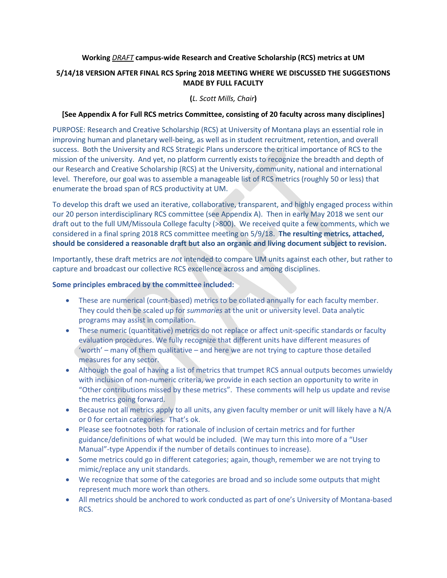#### **Working** *DRAFT* **campus-wide Research and Creative Scholarship (RCS) metrics at UM**

## **5/14/18 VERSION AFTER FINAL RCS Spring 2018 MEETING WHERE WE DISCUSSED THE SUGGESTIONS MADE BY FULL FACULTY**

## **(***L. Scott Mills, Chair***)**

## **[See Appendix A for Full RCS metrics Committee, consisting of 20 faculty across many disciplines]**

PURPOSE: Research and Creative Scholarship (RCS) at University of Montana plays an essential role in improving human and planetary well-being, as well as in student recruitment, retention, and overall success. Both the University and RCS Strategic Plans underscore the critical importance of RCS to the mission of the university. And yet, no platform currently exists to recognize the breadth and depth of our Research and Creative Scholarship (RCS) at the University, community, national and international level. Therefore, our goal was to assemble a manageable list of RCS metrics (roughly 50 or less) that enumerate the broad span of RCS productivity at UM.

To develop this draft we used an iterative, collaborative, transparent, and highly engaged process within our 20 person interdisciplinary RCS committee (see Appendix A). Then in early May 2018 we sent our draft out to the full UM/Missoula College faculty (>800). We received quite a few comments, which we considered in a final spring 2018 RCS committee meeting on 5/9/18. **The resulting metrics, attached, should be considered a reasonable draft but also an organic and living document subject to revision.**

Importantly, these draft metrics are *not* intended to compare UM units against each other, but rather to capture and broadcast our collective RCS excellence across and among disciplines.

#### **Some principles embraced by the committee included:**

- These are numerical (count-based) metrics to be collated annually for each faculty member. They could then be scaled up for *summaries* at the unit or university level. Data analytic programs may assist in compilation.
- These numeric (quantitative) metrics do not replace or affect unit-specific standards or faculty evaluation procedures. We fully recognize that different units have different measures of 'worth' – many of them qualitative – and here we are not trying to capture those detailed measures for any sector.
- Although the goal of having a list of metrics that trumpet RCS annual outputs becomes unwieldy with inclusion of non-numeric criteria, we provide in each section an opportunity to write in "Other contributions missed by these metrics". These comments will help us update and revise the metrics going forward.
- Because not all metrics apply to all units, any given faculty member or unit will likely have a N/A or 0 for certain categories. That's ok.
- Please see footnotes both for rationale of inclusion of certain metrics and for further guidance/definitions of what would be included. (We may turn this into more of a "User Manual"-type Appendix if the number of details continues to increase).
- Some metrics could go in different categories; again, though, remember we are not trying to mimic/replace any unit standards.
- We recognize that some of the categories are broad and so include some outputs that might represent much more work than others.
- All metrics should be anchored to work conducted as part of one's University of Montana-based RCS.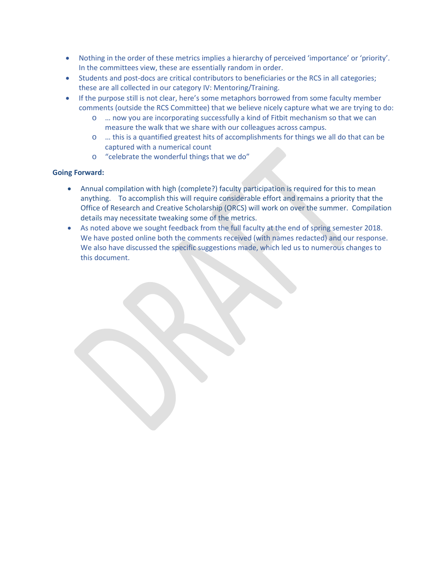- Nothing in the order of these metrics implies a hierarchy of perceived 'importance' or 'priority'. In the committees view, these are essentially random in order.
- Students and post-docs are critical contributors to beneficiaries or the RCS in all categories; these are all collected in our category IV: Mentoring/Training.
- If the purpose still is not clear, here's some metaphors borrowed from some faculty member comments (outside the RCS Committee) that we believe nicely capture what we are trying to do:
	- o … now you are incorporating successfully a kind of Fitbit mechanism so that we can measure the walk that we share with our colleagues across campus.
	- o … this is a quantified greatest hits of accomplishments for things we all do that can be captured with a numerical count
	- o "celebrate the wonderful things that we do"

## **Going Forward:**

- Annual compilation with high (complete?) faculty participation is required for this to mean anything. To accomplish this will require considerable effort and remains a priority that the Office of Research and Creative Scholarship (ORCS) will work on over the summer. Compilation details may necessitate tweaking some of the metrics.
- As noted above we sought feedback from the full faculty at the end of spring semester 2018. We have posted online both the comments received (with names redacted) and our response. We also have discussed the specific suggestions made, which led us to numerous changes to this document.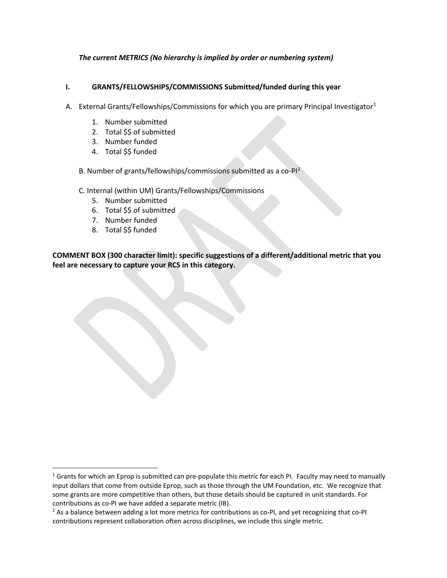### *The current METRICS (No hierarchy is implied by order or numbering system)*

### **I. GRANTS/FELLOWSHIPS/COMMISSIONS Submitted/funded during this year**

- A. External Grants/Fellowships/Commissions for which you are primary Principal Investigator<sup>[1](#page-2-0)</sup>
	- 1. Number submitted
	- 2. Total \$\$ of submitted
	- 3. Number funded
	- 4. Total \$\$ funded
	- B. Number of grants/fellowships/commissions submitted as a co-PI<sup>[2](#page-2-1)</sup>
	- C. Internal (within UM) Grants/Fellowships/Commissions
		- 5. Number submitted
		- 6. Total \$\$ of submitted
		- 7. Number funded
		- 8. Total \$\$ funded

<span id="page-2-0"></span> $1$  Grants for which an Eprop is submitted can pre-populate this metric for each PI. Faculty may need to manually input dollars that come from outside Eprop, such as those through the UM Foundation, etc. We recognize that some grants are more competitive than others, but those details should be captured in unit standards. For contributions as co-PI we have added a separate metric (IB).

<span id="page-2-1"></span> $<sup>2</sup>$  As a balance between adding a lot more metrics for contributions as co-PI, and yet recognizing that co-PI</sup> contributions represent collaboration often across disciplines, we include this single metric.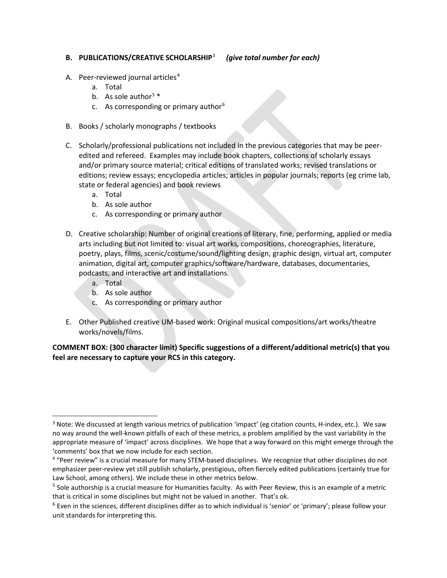### **B. PUBLICATIONS/CREATIVE SCHOLARSHIP**[3](#page-3-0)*(give total number for each)*

- A. Peer-reviewed journal articles<sup>[4](#page-3-1)</sup>
	- a. Total
	- b. As sole author<sup>[5](#page-3-2)</sup>  $*$
	- c. As corresponding or primary author $6$
- B. Books / scholarly monographs / textbooks
- C. Scholarly/professional publications not included in the previous categories that may be peeredited and refereed. Examples may include book chapters, collections of scholarly essays and/or primary source material; critical editions of translated works; revised translations or editions; review essays; encyclopedia articles; articles in popular journals; reports (eg crime lab, state or federal agencies) and book reviews
	- a. Total
	- b. As sole author
	- c. As corresponding or primary author
- D. Creative scholarship: Number of original creations of literary, fine, performing, applied or media arts including but not limited to: visual art works, compositions, choreographies, literature, poetry, plays, films, scenic/costume/sound/lighting design, graphic design, virtual art, computer animation, digital art, computer graphics/software/hardware, databases, documentaries, podcasts, and interactive art and installations.
	- a. Total
	- b. As sole author
	- c. As corresponding or primary author
- E. Other Published creative UM-based work: Original musical compositions/art works/theatre works/novels/films.

<span id="page-3-0"></span><sup>&</sup>lt;sup>3</sup> Note: We discussed at length various metrics of publication 'impact' (eg citation counts, H-index, etc.). We saw no way around the well-known pitfalls of each of these metrics, a problem amplified by the vast variability in the appropriate measure of 'impact' across disciplines. We hope that a way forward on this might emerge through the 'comments' box that we now include for each section.

<span id="page-3-1"></span><sup>4</sup> "Peer review" is a crucial measure for many STEM-based disciplines. We recognize that other disciplines do not emphasizer peer-review yet still publish scholarly, prestigious, often fiercely edited publications (certainly true for Law School, among others). We include these in other metrics below.

<span id="page-3-2"></span><sup>&</sup>lt;sup>5</sup> Sole authorship is a crucial measure for Humanities faculty. As with Peer Review, this is an example of a metric that is critical in some disciplines but might not be valued in another. That's ok.

<span id="page-3-3"></span> $6$  Even in the sciences, different disciplines differ as to which individual is 'senior' or 'primary'; please follow your unit standards for interpreting this.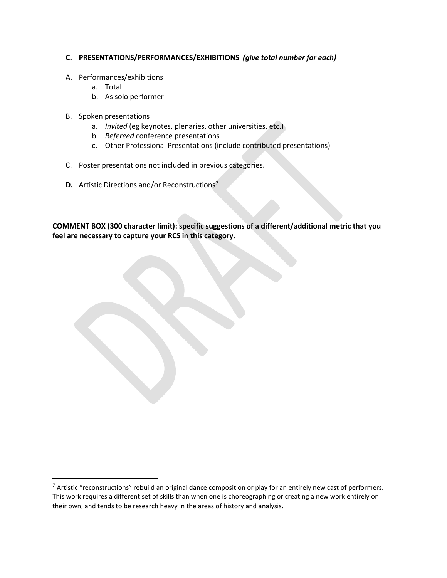## **C. PRESENTATIONS/PERFORMANCES/EXHIBITIONS** *(give total number for each)*

#### A. Performances/exhibitions

- a. Total
- b. As solo performer
- B. Spoken presentations
	- a. *Invited* (eg keynotes, plenaries, other universities, etc.)
	- b. *Refereed* conference presentations
	- c. Other Professional Presentations (include contributed presentations)
- C. Poster presentations not included in previous categories.
- **D.** Artistic Directions and/or Reconstructions<sup>[7](#page-5-0)</sup>

<span id="page-5-0"></span> $<sup>7</sup>$  Artistic "reconstructions" rebuild an original dance composition or play for an entirely new cast of performers.</sup> This work requires a different set of skills than when one is choreographing or creating a new work entirely on their own, and tends to be research heavy in the areas of history and analysis.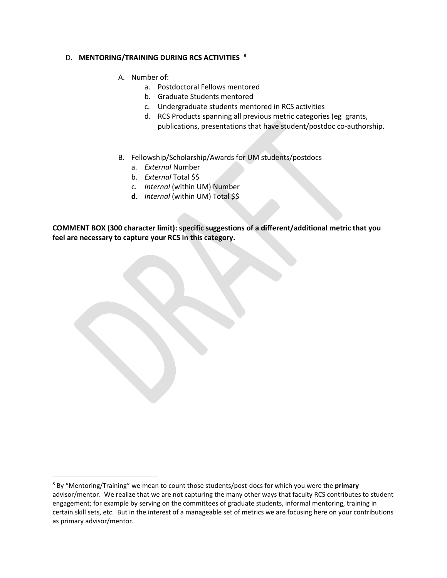#### D. **MENTORING/TRAINING DURING RCS ACTIVITIES [8](#page-6-0)**

- A. Number of:
	- a. Postdoctoral Fellows mentored
	- b. Graduate Students mentored
	- c. Undergraduate students mentored in RCS activities
	- d. RCS Products spanning all previous metric categories (eg grants, publications, presentations that have student/postdoc co-authorship.
- B. Fellowship/Scholarship/Awards for UM students/postdocs
	- a. *External* Number
	- b. *External* Total \$\$
	- c. *Internal* (within UM) Number
	- **d.** *Internal* (within UM) Total \$\$

<span id="page-6-0"></span> <sup>8</sup> By "Mentoring/Training" we mean to count those students/post-docs for which you were the **primary** advisor/mentor. We realize that we are not capturing the many other ways that faculty RCS contributes to student engagement; for example by serving on the committees of graduate students, informal mentoring, training in certain skill sets, etc. But in the interest of a manageable set of metrics we are focusing here on your contributions as primary advisor/mentor.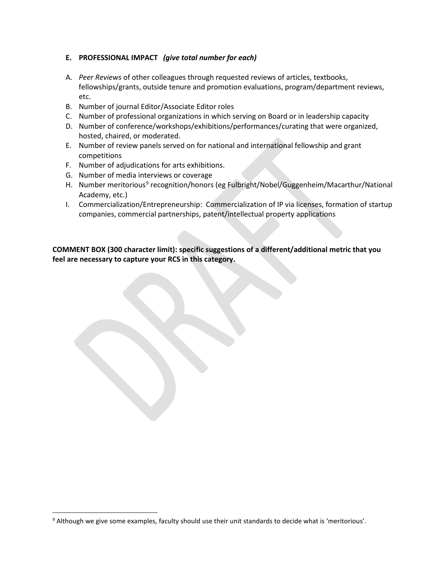## **E. PROFESSIONAL IMPACT** *(give total number for each)*

- A. *Peer Reviews* of other colleagues through requested reviews of articles, textbooks, fellowships/grants, outside tenure and promotion evaluations, program/department reviews, etc.
- B. Number of journal Editor/Associate Editor roles
- C. Number of professional organizations in which serving on Board or in leadership capacity
- D. Number of conference/workshops/exhibitions/performances/curating that were organized, hosted, chaired, or moderated.
- E. Number of review panels served on for national and international fellowship and grant competitions
- F. Number of adjudications for arts exhibitions.
- G. Number of media interviews or coverage
- H. Number meritorious<sup>[9](#page-7-0)</sup> recognition/honors (eg Fulbright/Nobel/Guggenheim/Macarthur/National Academy, etc.)
- I. Commercialization/Entrepreneurship: Commercialization of IP via licenses, formation of startup companies, commercial partnerships, patent/intellectual property applications

<span id="page-7-0"></span> <sup>9</sup> Although we give some examples, faculty should use their unit standards to decide what is 'meritorious'.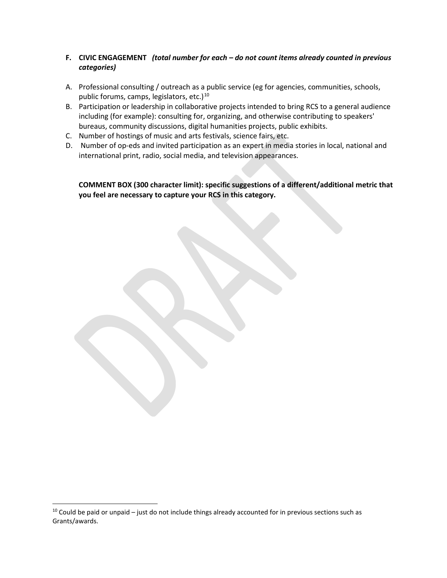# **F. CIVIC ENGAGEMENT** *(total number for each – do not count items already counted in previous categories)*

- A. Professional consulting / outreach as a public service (eg for agencies, communities, schools, public forums, camps, legislators, etc.)<sup>10</sup>
- B. Participation or leadership in collaborative projects intended to bring RCS to a general audience including (for example): consulting for, organizing, and otherwise contributing to speakers' bureaus, community discussions, digital humanities projects, public exhibits.
- C. Number of hostings of music and arts festivals, science fairs, etc.
- D. Number of op-eds and invited participation as an expert in media stories in local, national and international print, radio, social media, and television appearances.

<span id="page-8-0"></span> $10$  Could be paid or unpaid – just do not include things already accounted for in previous sections such as Grants/awards.